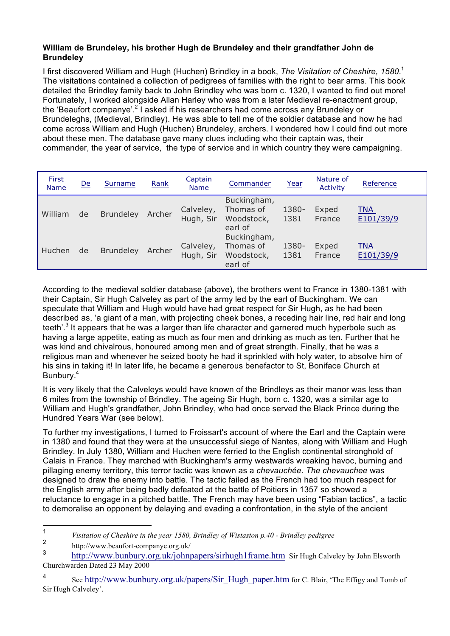## **William de Brundeley, his brother Hugh de Brundeley and their grandfather John de Brundeley**

I first discovered William and Hugh (Huchen) Brindley in a book, *The Visitation of Cheshire, 1580*. 1 The visitations contained a collection of pedigrees of families with the right to bear arms. This book detailed the Brindley family back to John Brindley who was born c. 1320, I wanted to find out more! Fortunately, I worked alongside Allan Harley who was from a later Medieval re-enactment group, the 'Beaufort companye'.<sup>2</sup> I asked if his researchers had come across any Brundeley or Brundeleghs, (Medieval, Brindley). He was able to tell me of the soldier database and how he had come across William and Hugh (Huchen) Brundeley, archers. I wondered how I could find out more about these men. The database gave many clues including who their captain was, their commander, the year of service, the type of service and in which country they were campaigning.

| <b>First</b><br><b>Name</b> | De | Surname          | Rank   | Captain<br><b>Name</b> | Commander                                         | Year          | Nature of<br><b>Activity</b> | Reference               |
|-----------------------------|----|------------------|--------|------------------------|---------------------------------------------------|---------------|------------------------------|-------------------------|
| William                     | de | <b>Brundeley</b> | Archer | Calveley,<br>Hugh, Sir | Buckingham,<br>Thomas of<br>Woodstock,<br>earl of | 1380-<br>1381 | Exped<br>France              | TNA<br>E101/39/9        |
| Huchen                      | de | <b>Brundeley</b> | Archer | Calveley,<br>Hugh, Sir | Buckingham,<br>Thomas of<br>Woodstock,<br>earl of | 1380-<br>1381 | Exped<br>France              | <b>TNA</b><br>E101/39/9 |

According to the medieval soldier database (above), the brothers went to France in 1380-1381 with their Captain, Sir Hugh Calveley as part of the army led by the earl of Buckingham. We can speculate that William and Hugh would have had great respect for Sir Hugh, as he had been described as, 'a giant of a man, with projecting cheek bones, a receding hair line, red hair and long teeth'.<sup>3</sup> It appears that he was a larger than life character and garnered much hyperbole such as having a large appetite, eating as much as four men and drinking as much as ten. Further that he was kind and chivalrous, honoured among men and of great strength. Finally, that he was a religious man and whenever he seized booty he had it sprinkled with holy water, to absolve him of his sins in taking it! In later life, he became a generous benefactor to St, Boniface Church at Bunbury.<sup>4</sup>

It is very likely that the Calveleys would have known of the Brindleys as their manor was less than 6 miles from the township of Brindley. The ageing Sir Hugh, born c. 1320, was a similar age to William and Hugh's grandfather, John Brindley, who had once served the Black Prince during the Hundred Years War (see below).

To further my investigations, I turned to Froissart's account of where the Earl and the Captain were in 1380 and found that they were at the unsuccessful siege of Nantes, along with William and Hugh Brindley. In July 1380, William and Huchen were ferried to the English continental stronghold of Calais in France. They marched with Buckingham's army westwards wreaking havoc, burning and pillaging enemy territory, this terror tactic was known as a *chevauchée. The chevauchee* was designed to draw the enemy into battle. The tactic failed as the French had too much respect for the English army after being badly defeated at the battle of Poitiers in 1357 so showed a reluctance to engage in a pitched battle. The French may have been using "Fabian tactics", a tactic to demoralise an opponent by delaying and evading a confrontation, in the style of the ancient

<sup>1</sup> *Visitation of Cheshire in the year 1580, Brindley of Wistaston p.40 - Brindley pedigree*

 $\frac{2}{3}$  http://www.beaufort-companye.org.uk/

http://www.bunbury.org.uk/johnpapers/sirhugh1frame.htm Sir Hugh Calveley by John Elsworth Churchwarden Dated 23 May 2000

<sup>4</sup> See http://www.bunbury.org.uk/papers/Sir\_Hugh\_paper.htm for C. Blair, 'The Effigy and Tomb of Sir Hugh Calveley'.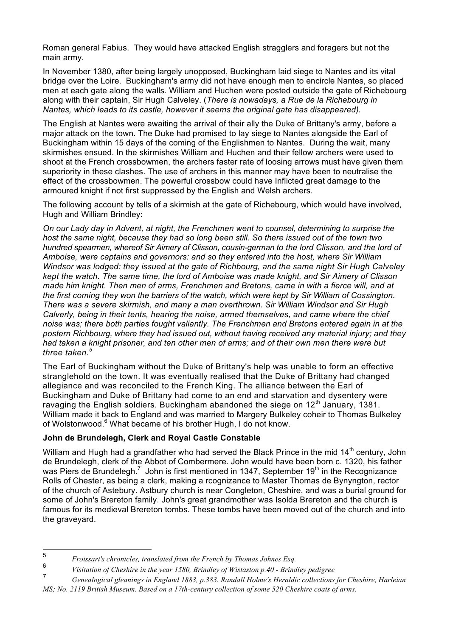Roman general Fabius. They would have attacked English stragglers and foragers but not the main army.

In November 1380, after being largely unopposed, Buckingham laid siege to Nantes and its vital bridge over the Loire. Buckingham's army did not have enough men to encircle Nantes, so placed men at each gate along the walls. William and Huchen were posted outside the gate of Richebourg along with their captain, Sir Hugh Calveley. (*There is nowadays, a Rue de la Richebourg in Nantes, which leads to its castle, however it seems the original gate has disappeared).*

The English at Nantes were awaiting the arrival of their ally the Duke of Brittany's army, before a major attack on the town. The Duke had promised to lay siege to Nantes alongside the Earl of Buckingham within 15 days of the coming of the Englishmen to Nantes. During the wait, many skirmishes ensued. In the skirmishes William and Huchen and their fellow archers were used to shoot at the French crossbowmen, the archers faster rate of loosing arrows must have given them superiority in these clashes. The use of archers in this manner may have been to neutralise the effect of the crossbowmen. The powerful crossbow could have Inflicted great damage to the armoured knight if not first suppressed by the English and Welsh archers.

The following account by tells of a skirmish at the gate of Richebourg, which would have involved, Hugh and William Brindley:

*On our Lady day in Advent, at night, the Frenchmen went to counsel, determining to surprise the host the same night, because they had so long been still. So there issued out of the town two hundred spearmen, whereof Sir Aimery of Clisson, cousin-german to the lord Clisson, and the lord of Amboise, were captains and governors: and so they entered into the host, where Sir William Windsor was lodged: they issued at the gate of Richbourg, and the same night Sir Hugh Calveley kept the watch. The same time, the lord of Amboise was made knight, and Sir Aimery of Clisson made him knight. Then men of arms, Frenchmen and Bretons, came in with a fierce will, and at the first coming they won the barriers of the watch, which were kept by Sir William of Cossington. There was a severe skirmish, and many a man overthrown. Sir William Windsor and Sir Hugh Calverly, being in their tents, hearing the noise, armed themselves, and came where the chief noise was; there both parties fought valiantly. The Frenchmen and Bretons entered again in at the postern Richbourg, where they had issued out, without having received any material injury; and they had taken a knight prisoner, and ten other men of arms; and of their own men there were but three taken.<sup>5</sup>*

The Earl of Buckingham without the Duke of Brittany's help was unable to form an effective stranglehold on the town. It was eventually realised that the Duke of Brittany had changed allegiance and was reconciled to the French King. The alliance between the Earl of Buckingham and Duke of Brittany had come to an end and starvation and dysentery were ravaging the English soldiers. Buckingham abandoned the siege on  $12<sup>th</sup>$  January, 1381. William made it back to England and was married to Margery Bulkeley coheir to Thomas Bulkeley of Wolstonwood.<sup>6</sup> What became of his brother Hugh, I do not know.

## **John de Brundelegh, Clerk and Royal Castle Constable**

William and Hugh had a grandfather who had served the Black Prince in the mid 14<sup>th</sup> century, John de Brundelegh, clerk of the Abbot of Combermere. John would have been born c. 1320, his father was Piers de Brundelegh.<sup>7</sup> John is first mentioned in 1347, September 19<sup>th</sup> in the Recognizance Rolls of Chester, as being a clerk, making a rcognizance to Master Thomas de Bynyngton, rector of the church of Astebury. Astbury church is near Congleton, Cheshire, and was a burial ground for some of John's Brereton family. John's great grandmother was Isolda Brereton and the church is famous for its medieval Brereton tombs. These tombs have been moved out of the church and into the graveyard.

<sup>5</sup> *Froissart's chronicles, translated from the French by Thomas Johnes Esq.*

<sup>6</sup> *Visitation of Cheshire in the year 1580, Brindley of Wistaston p.40 - Brindley pedigree*

<sup>7</sup> *Genealogical gleanings in England 1883, p.383. Randall Holme's Heraldic collections for Cheshire, Harleian MS; No. 2119 British Museum. Based on a 17th-century collection of some 520 Cheshire coats of arms.*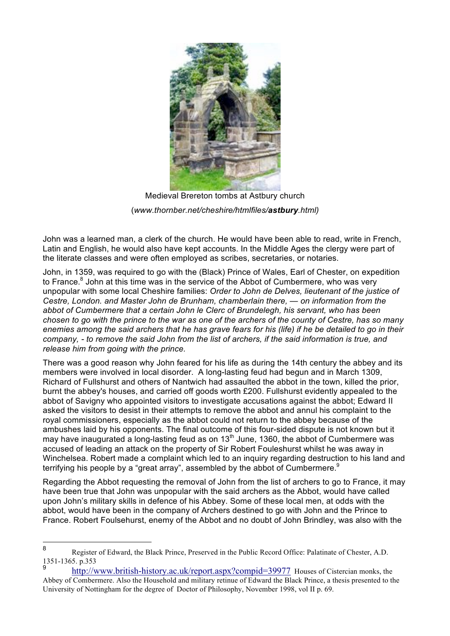

Medieval Brereton tombs at Astbury church (*www.thornber.net/cheshire/htmlfiles/astbury.html)*

John was a learned man, a clerk of the church. He would have been able to read, write in French, Latin and English, he would also have kept accounts. In the Middle Ages the clergy were part of the literate classes and were often employed as scribes, secretaries, or notaries.

John, in 1359, was required to go with the (Black) Prince of Wales, Earl of Chester, on expedition to France.<sup>8</sup> John at this time was in the service of the Abbot of Cumbermere, who was very unpopular with some local Cheshire families: *Order to John de Delves, lieutenant of the justice of Cestre, London. and Master John de Brunham, chamberlain there, — on information from the abbot of Cumbermere that a certain John le Clerc of Brundelegh, his servant, who has been chosen to go with the prince to the war as one of the archers of the county of Cestre, has so many enemies among the said archers that he has grave fears for his (life) if he be detailed to go in their company, - to remove the said John from the list of archers, if the said information is true, and release him from going with the prince.* 

There was a good reason why John feared for his life as during the 14th century the abbey and its members were involved in local disorder. A long-lasting feud had begun and in March 1309, Richard of Fullshurst and others of Nantwich had assaulted the abbot in the town, killed the prior, burnt the abbey's houses, and carried off goods worth £200. Fullshurst evidently appealed to the abbot of Savigny who appointed visitors to investigate accusations against the abbot; Edward II asked the visitors to desist in their attempts to remove the abbot and annul his complaint to the royal commissioners, especially as the abbot could not return to the abbey because of the ambushes laid by his opponents. The final outcome of this four-sided dispute is not known but it may have inaugurated a long-lasting feud as on  $13<sup>th</sup>$  June, 1360, the abbot of Cumbermere was accused of leading an attack on the property of Sir Robert Fouleshurst whilst he was away in Winchelsea. Robert made a complaint which led to an inquiry regarding destruction to his land and terrifying his people by a "great array", assembled by the abbot of Cumbermere.<sup>9</sup>

Regarding the Abbot requesting the removal of John from the list of archers to go to France, it may have been true that John was unpopular with the said archers as the Abbot, would have called upon John's military skills in defence of his Abbey. Some of these local men, at odds with the abbot, would have been in the company of Archers destined to go with John and the Prince to France. Robert Foulsehurst, enemy of the Abbot and no doubt of John Brindley, was also with the

<sup>8</sup> Register of Edward, the Black Prince, Preserved in the Public Record Office: Palatinate of Chester, A.D. 1351-1365. p.353

http://www.british-history.ac.uk/report.aspx?compid=39977 Houses of Cistercian monks, the Abbey of Combermere. Also the Household and military retinue of Edward the Black Prince, a thesis presented to the University of Nottingham for the degree of Doctor of Philosophy, November 1998, vol II p. 69.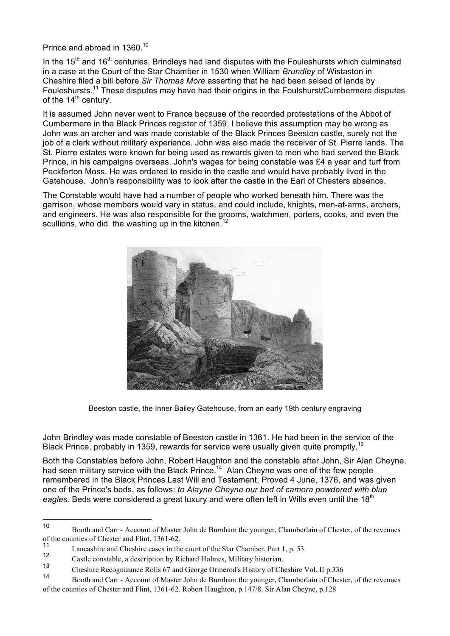Prince and abroad in 1360.<sup>10</sup>

In the 15<sup>th</sup> and 16<sup>th</sup> centuries, Brindleys had land disputes with the Fouleshursts which culminated in a case at the Court of the Star Chamber in 1530 when William *Brundley* of Wistaston in Cheshire filed a bill before *Sir Thomas More* asserting that he had been seised of lands by Fouleshursts.<sup>11</sup> These disputes may have had their origins in the Foulshurst/Cumbermere disputes of the  $14<sup>th</sup>$  century.

It is assumed John never went to France because of the recorded protestations of the Abbot of Cumbermere in the Black Princes register of 1359. I believe this assumption may be wrong as John was an archer and was made constable of the Black Princes Beeston castle, surely not the job of a clerk without military experience. John was also made the receiver of St. Pierre lands. The St. Pierre estates were known for being used as rewards given to men who had served the Black Prince, in his campaigns overseas. John's wages for being constable was £4 a year and turf from Peckforton Moss. He was ordered to reside in the castle and would have probably lived in the Gatehouse. John's responsibility was to look after the castle in the Earl of Chesters absence.

The Constable would have had a number of people who worked beneath him. There was the garrison, whose members would vary in status, and could include, knights, men-at-arms, archers, and engineers. He was also responsible for the grooms, watchmen, porters, cooks, and even the scullions, who did the washing up in the kitchen.<sup>12</sup>



Beeston castle, the Inner Bailey Gatehouse, from an early 19th century engraving

John Brindley was made constable of Beeston castle in 1361. He had been in the service of the Black Prince, probably in 1359, rewards for service were usually given quite promptly.<sup>13</sup>

Both the Constables before John, Robert Haughton and the constable after John, Sir Alan Cheyne, had seen military service with the Black Prince.<sup>14</sup> Alan Cheyne was one of the few people remembered in the Black Princes Last Will and Testament, Proved 4 June, 1376, and was given one of the Prince's beds, as follows: *to Alayne Cheyne our bed of camora powdered with blue*  eagles. Beds were considered a great luxury and were often left in Wills even until the 18<sup>th</sup>

<sup>10</sup> Booth and Carr - Account of Master John de Burnham the younger, Chamberlain of Chester, of the revenues of the counties of Chester and Flint, 1361-62.

<sup>&</sup>lt;sup>11</sup> Lancashire and Cheshire cases in the court of the Star Chamber, Part 1, p. 53.<br>12

<sup>&</sup>lt;sup>12</sup> Castle constable, a description by Richard Holmes, Military historian.

<sup>&</sup>lt;sup>13</sup> Cheshire Recognizance Rolls 67 and George Ormerod's History of Cheshire Vol. II p.336

Booth and Carr - Account of Master John de Burnham the younger, Chamberlain of Chester, of the revenues of the counties of Chester and Flint, 1361-62. Robert Haughton, p.147/8. Sir Alan Cheyne, p.128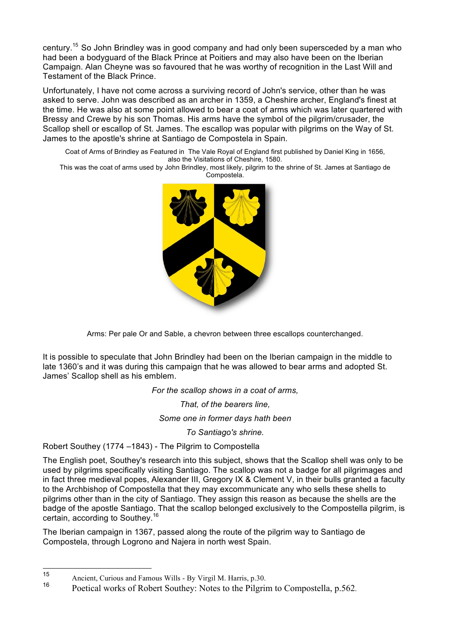century.15 So John Brindley was in good company and had only been supersceded by a man who had been a bodyguard of the Black Prince at Poitiers and may also have been on the Iberian Campaign. Alan Cheyne was so favoured that he was worthy of recognition in the Last Will and Testament of the Black Prince.

Unfortunately, I have not come across a surviving record of John's service, other than he was asked to serve. John was described as an archer in 1359, a Cheshire archer, England's finest at the time. He was also at some point allowed to bear a coat of arms which was later quartered with Bressy and Crewe by his son Thomas. His arms have the symbol of the pilgrim/crusader, the Scallop shell or escallop of St. James. The escallop was popular with pilgrims on the Way of St. James to the apostle's shrine at Santiago de Compostela in Spain.

Coat of Arms of Brindley as Featured in The Vale Royal of England first published by Daniel King in 1656, also the Visitations of Cheshire, 1580.

This was the coat of arms used by John Brindley, most likely, pilgrim to the shrine of St. James at Santiago de Compostela.



Arms: Per pale Or and Sable, a chevron between three escallops counterchanged.

It is possible to speculate that John Brindley had been on the Iberian campaign in the middle to late 1360's and it was during this campaign that he was allowed to bear arms and adopted St. James' Scallop shell as his emblem.

*For the scallop shows in a coat of arms,* 

*That, of the bearers line,* 

*Some one in former days hath been* 

*To Santiago's shrine.*

Robert Southey (1774 –1843) - The Pilgrim to Compostella

The English poet, Southey's research into this subject, shows that the Scallop shell was only to be used by pilgrims specifically visiting Santiago. The scallop was not a badge for all pilgrimages and in fact three medieval popes, Alexander III, Gregory IX & Clement V, in their bulls granted a faculty to the Archbishop of Compostella that they may excommunicate any who sells these shells to pilgrims other than in the city of Santiago. They assign this reason as because the shells are the badge of the apostle Santiago. That the scallop belonged exclusively to the Compostella pilgrim, is certain, according to Southey.16

The Iberian campaign in 1367, passed along the route of the pilgrim way to Santiago de Compostela, through Logrono and Najera in north west Spain.

<sup>15</sup> Ancient, Curious and Famous Wills - By Virgil M. Harris, p.30.

<sup>16</sup> Poetical works of Robert Southey: Notes to the Pilgrim to Compostella, p.562.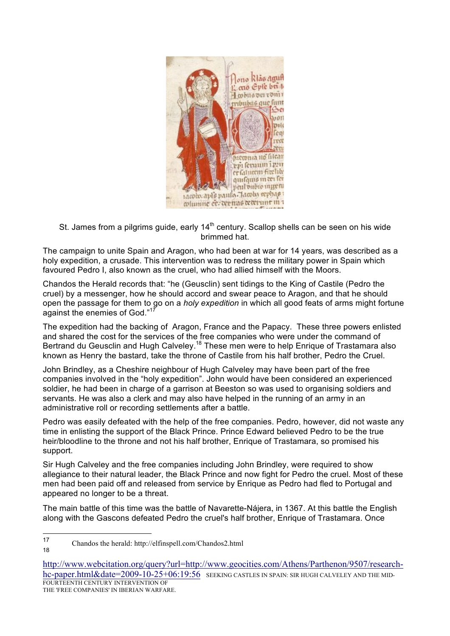

St. James from a pilgrims guide, early  $14<sup>th</sup>$  century. Scallop shells can be seen on his wide brimmed hat.

The campaign to unite Spain and Aragon, who had been at war for 14 years, was described as a holy expedition, a crusade. This intervention was to redress the military power in Spain which favoured Pedro I, also known as the cruel, who had allied himself with the Moors.

Chandos the Herald records that: "he (Geusclin) sent tidings to the King of Castile (Pedro the cruel) by a messenger, how he should accord and swear peace to Aragon, and that he should open the passage for them to go on a *holy expedition* in which all good feats of arms might fortune against the enemies of God."<sup>17</sup>

The expedition had the backing of Aragon, France and the Papacy. These three powers enlisted and shared the cost for the services of the free companies who were under the command of Bertrand du Geusclin and Hugh Calveley.<sup>18</sup> These men were to help Enrique of Trastamara also known as Henry the bastard, take the throne of Castile from his half brother, Pedro the Cruel.

John Brindley, as a Cheshire neighbour of Hugh Calveley may have been part of the free companies involved in the "holy expedition". John would have been considered an experienced soldier, he had been in charge of a garrison at Beeston so was used to organising soldiers and servants. He was also a clerk and may also have helped in the running of an army in an administrative roll or recording settlements after a battle.

Pedro was easily defeated with the help of the free companies. Pedro, however, did not waste any time in enlisting the support of the Black Prince. Prince Edward believed Pedro to be the true heir/bloodline to the throne and not his half brother, Enrique of Trastamara, so promised his support.

Sir Hugh Calveley and the free companies including John Brindley, were required to show allegiance to their natural leader, the Black Prince and now fight for Pedro the cruel. Most of these men had been paid off and released from service by Enrique as Pedro had fled to Portugal and appeared no longer to be a threat.

The main battle of this time was the battle of Navarette-Nájera, in 1367. At this battle the English along with the Gascons defeated Pedro the cruel's half brother, Enrique of Trastamara. Once

18

<sup>17</sup> Chandos the herald: http://elfinspell.com/Chandos2.html

http://www.webcitation.org/query?url=http://www.geocities.com/Athens/Parthenon/9507/researchhc-paper.html&date=2009-10-25+06:19:56 SEEKING CASTLES IN SPAIN: SIR HUGH CALVELEY AND THE MID-FOURTEENTH CENTURY INTERVENTION OF THE 'FREE COMPANIES' IN IBERIAN WARFARE.